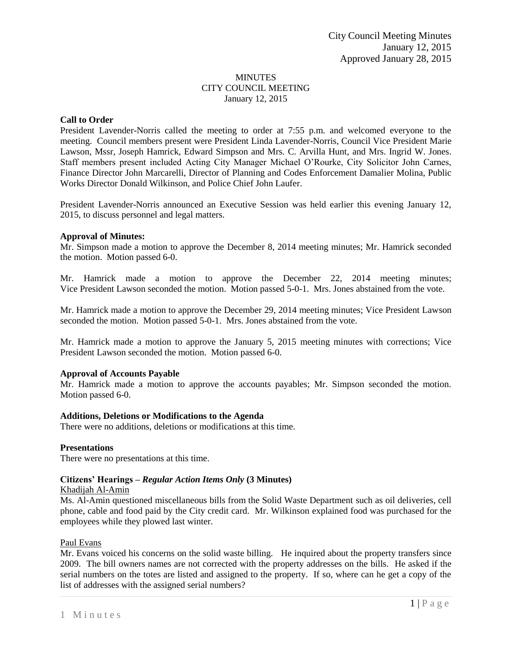## MINUTES CITY COUNCIL MEETING January 12, 2015

# **Call to Order**

President Lavender-Norris called the meeting to order at 7:55 p.m. and welcomed everyone to the meeting. Council members present were President Linda Lavender-Norris, Council Vice President Marie Lawson, Mssr, Joseph Hamrick, Edward Simpson and Mrs. C. Arvilla Hunt, and Mrs. Ingrid W. Jones. Staff members present included Acting City Manager Michael O'Rourke, City Solicitor John Carnes, Finance Director John Marcarelli, Director of Planning and Codes Enforcement Damalier Molina, Public Works Director Donald Wilkinson, and Police Chief John Laufer.

President Lavender-Norris announced an Executive Session was held earlier this evening January 12, 2015, to discuss personnel and legal matters.

## **Approval of Minutes:**

Mr. Simpson made a motion to approve the December 8, 2014 meeting minutes; Mr. Hamrick seconded the motion. Motion passed 6-0.

Mr. Hamrick made a motion to approve the December 22, 2014 meeting minutes; Vice President Lawson seconded the motion. Motion passed 5-0-1. Mrs. Jones abstained from the vote.

Mr. Hamrick made a motion to approve the December 29, 2014 meeting minutes; Vice President Lawson seconded the motion. Motion passed 5-0-1. Mrs. Jones abstained from the vote.

Mr. Hamrick made a motion to approve the January 5, 2015 meeting minutes with corrections; Vice President Lawson seconded the motion. Motion passed 6-0.

## **Approval of Accounts Payable**

Mr. Hamrick made a motion to approve the accounts payables; Mr. Simpson seconded the motion. Motion passed 6-0.

## **Additions, Deletions or Modifications to the Agenda**

There were no additions, deletions or modifications at this time.

#### **Presentations**

There were no presentations at this time.

## **Citizens' Hearings –** *Regular Action Items Only* **(3 Minutes)**

#### Khadijah Al-Amin

Ms. Al-Amin questioned miscellaneous bills from the Solid Waste Department such as oil deliveries, cell phone, cable and food paid by the City credit card. Mr. Wilkinson explained food was purchased for the employees while they plowed last winter.

#### Paul Evans

Mr. Evans voiced his concerns on the solid waste billing. He inquired about the property transfers since 2009. The bill owners names are not corrected with the property addresses on the bills. He asked if the serial numbers on the totes are listed and assigned to the property. If so, where can he get a copy of the list of addresses with the assigned serial numbers?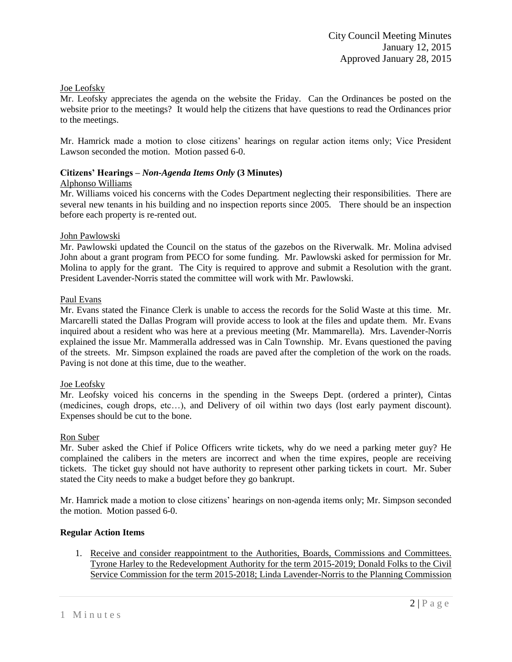## Joe Leofsky

Mr. Leofsky appreciates the agenda on the website the Friday. Can the Ordinances be posted on the website prior to the meetings? It would help the citizens that have questions to read the Ordinances prior to the meetings.

Mr. Hamrick made a motion to close citizens' hearings on regular action items only; Vice President Lawson seconded the motion. Motion passed 6-0.

#### **Citizens' Hearings –** *Non-Agenda Items Only* **(3 Minutes)** Alphonso Williams

Mr. Williams voiced his concerns with the Codes Department neglecting their responsibilities. There are several new tenants in his building and no inspection reports since 2005. There should be an inspection before each property is re-rented out.

# John Pawlowski

Mr. Pawlowski updated the Council on the status of the gazebos on the Riverwalk. Mr. Molina advised John about a grant program from PECO for some funding. Mr. Pawlowski asked for permission for Mr. Molina to apply for the grant. The City is required to approve and submit a Resolution with the grant. President Lavender-Norris stated the committee will work with Mr. Pawlowski.

## Paul Evans

Mr. Evans stated the Finance Clerk is unable to access the records for the Solid Waste at this time. Mr. Marcarelli stated the Dallas Program will provide access to look at the files and update them. Mr. Evans inquired about a resident who was here at a previous meeting (Mr. Mammarella). Mrs. Lavender-Norris explained the issue Mr. Mammeralla addressed was in Caln Township. Mr. Evans questioned the paving of the streets. Mr. Simpson explained the roads are paved after the completion of the work on the roads. Paving is not done at this time, due to the weather.

## Joe Leofsky

Mr. Leofsky voiced his concerns in the spending in the Sweeps Dept. (ordered a printer), Cintas (medicines, cough drops, etc…), and Delivery of oil within two days (lost early payment discount). Expenses should be cut to the bone.

## Ron Suber

Mr. Suber asked the Chief if Police Officers write tickets, why do we need a parking meter guy? He complained the calibers in the meters are incorrect and when the time expires, people are receiving tickets. The ticket guy should not have authority to represent other parking tickets in court. Mr. Suber stated the City needs to make a budget before they go bankrupt.

Mr. Hamrick made a motion to close citizens' hearings on non-agenda items only; Mr. Simpson seconded the motion. Motion passed 6-0.

## **Regular Action Items**

1. Receive and consider reappointment to the Authorities, Boards, Commissions and Committees. Tyrone Harley to the Redevelopment Authority for the term 2015-2019; Donald Folks to the Civil Service Commission for the term 2015-2018; Linda Lavender-Norris to the Planning Commission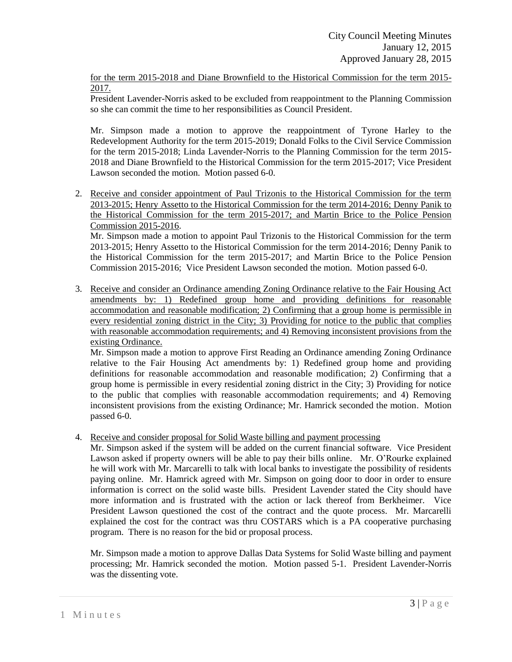for the term 2015-2018 and Diane Brownfield to the Historical Commission for the term 2015- 2017.

President Lavender-Norris asked to be excluded from reappointment to the Planning Commission so she can commit the time to her responsibilities as Council President.

Mr. Simpson made a motion to approve the reappointment of Tyrone Harley to the Redevelopment Authority for the term 2015-2019; Donald Folks to the Civil Service Commission for the term 2015-2018; Linda Lavender-Norris to the Planning Commission for the term 2015- 2018 and Diane Brownfield to the Historical Commission for the term 2015-2017; Vice President Lawson seconded the motion. Motion passed 6-0.

2. Receive and consider appointment of Paul Trizonis to the Historical Commission for the term 2013-2015; Henry Assetto to the Historical Commission for the term 2014-2016; Denny Panik to the Historical Commission for the term 2015-2017; and Martin Brice to the Police Pension Commission 2015-2016.

Mr. Simpson made a motion to appoint Paul Trizonis to the Historical Commission for the term 2013-2015; Henry Assetto to the Historical Commission for the term 2014-2016; Denny Panik to the Historical Commission for the term 2015-2017; and Martin Brice to the Police Pension Commission 2015-2016; Vice President Lawson seconded the motion. Motion passed 6-0.

3. Receive and consider an Ordinance amending Zoning Ordinance relative to the Fair Housing Act amendments by: 1) Redefined group home and providing definitions for reasonable accommodation and reasonable modification; 2) Confirming that a group home is permissible in every residential zoning district in the City; 3) Providing for notice to the public that complies with reasonable accommodation requirements; and 4) Removing inconsistent provisions from the existing Ordinance.

Mr. Simpson made a motion to approve First Reading an Ordinance amending Zoning Ordinance relative to the Fair Housing Act amendments by: 1) Redefined group home and providing definitions for reasonable accommodation and reasonable modification; 2) Confirming that a group home is permissible in every residential zoning district in the City; 3) Providing for notice to the public that complies with reasonable accommodation requirements; and 4) Removing inconsistent provisions from the existing Ordinance; Mr. Hamrick seconded the motion. Motion passed 6-0.

4. Receive and consider proposal for Solid Waste billing and payment processing

Mr. Simpson asked if the system will be added on the current financial software. Vice President Lawson asked if property owners will be able to pay their bills online. Mr. O'Rourke explained he will work with Mr. Marcarelli to talk with local banks to investigate the possibility of residents paying online. Mr. Hamrick agreed with Mr. Simpson on going door to door in order to ensure information is correct on the solid waste bills. President Lavender stated the City should have more information and is frustrated with the action or lack thereof from Berkheimer. Vice President Lawson questioned the cost of the contract and the quote process. Mr. Marcarelli explained the cost for the contract was thru COSTARS which is a PA cooperative purchasing program. There is no reason for the bid or proposal process.

Mr. Simpson made a motion to approve Dallas Data Systems for Solid Waste billing and payment processing; Mr. Hamrick seconded the motion. Motion passed 5-1. President Lavender-Norris was the dissenting vote.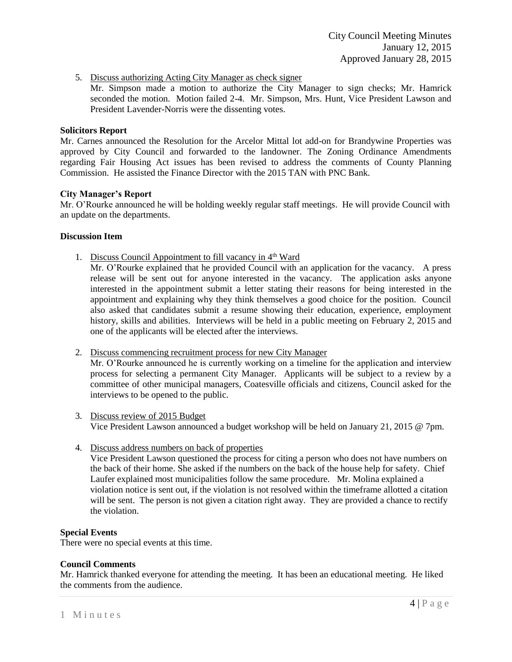5. Discuss authorizing Acting City Manager as check signer

Mr. Simpson made a motion to authorize the City Manager to sign checks; Mr. Hamrick seconded the motion. Motion failed 2-4. Mr. Simpson, Mrs. Hunt, Vice President Lawson and President Lavender-Norris were the dissenting votes.

#### **Solicitors Report**

Mr. Carnes announced the Resolution for the Arcelor Mittal lot add-on for Brandywine Properties was approved by City Council and forwarded to the landowner. The Zoning Ordinance Amendments regarding Fair Housing Act issues has been revised to address the comments of County Planning Commission. He assisted the Finance Director with the 2015 TAN with PNC Bank.

#### **City Manager's Report**

Mr. O'Rourke announced he will be holding weekly regular staff meetings. He will provide Council with an update on the departments.

#### **Discussion Item**

1. Discuss Council Appointment to fill vacancy in 4<sup>th</sup> Ward

Mr. O'Rourke explained that he provided Council with an application for the vacancy. A press release will be sent out for anyone interested in the vacancy. The application asks anyone interested in the appointment submit a letter stating their reasons for being interested in the appointment and explaining why they think themselves a good choice for the position. Council also asked that candidates submit a resume showing their education, experience, employment history, skills and abilities. Interviews will be held in a public meeting on February 2, 2015 and one of the applicants will be elected after the interviews.

2. Discuss commencing recruitment process for new City Manager

Mr. O'Rourke announced he is currently working on a timeline for the application and interview process for selecting a permanent City Manager. Applicants will be subject to a review by a committee of other municipal managers, Coatesville officials and citizens, Council asked for the interviews to be opened to the public.

- 3. Discuss review of 2015 Budget Vice President Lawson announced a budget workshop will be held on January 21, 2015 @ 7pm.
- 4. Discuss address numbers on back of properties

Vice President Lawson questioned the process for citing a person who does not have numbers on the back of their home. She asked if the numbers on the back of the house help for safety. Chief Laufer explained most municipalities follow the same procedure. Mr. Molina explained a violation notice is sent out, if the violation is not resolved within the timeframe allotted a citation will be sent. The person is not given a citation right away. They are provided a chance to rectify the violation.

#### **Special Events**

There were no special events at this time.

## **Council Comments**

Mr. Hamrick thanked everyone for attending the meeting. It has been an educational meeting. He liked the comments from the audience.